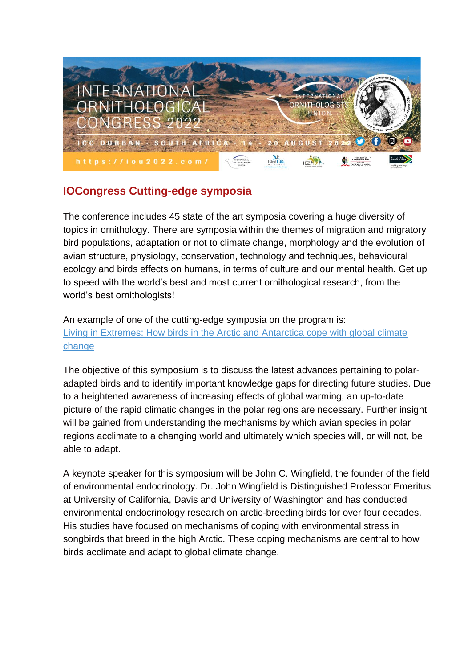

## **IOCongress Cutting-edge symposia**

The conference includes 45 state of the art symposia covering a huge diversity of topics in ornithology. There are symposia within the themes of migration and migratory bird populations, adaptation or not to climate change, morphology and the evolution of avian structure, physiology, conservation, technology and techniques, behavioural ecology and birds effects on humans, in terms of culture and our mental health. Get up to speed with the world's best and most current ornithological research, from the world's best ornithologists!

An example of one of the cutting-edge symposia on the program is: [Living in Extremes: How birds in the Arctic and Antarctica cope with global climate](https://iocongress2022.com/session-5/#38session5)  [change](https://iocongress2022.com/session-5/#38session5)

The objective of this symposium is to discuss the latest advances pertaining to polaradapted birds and to identify important knowledge gaps for directing future studies. Due to a heightened awareness of increasing effects of global warming, an up-to-date picture of the rapid climatic changes in the polar regions are necessary. Further insight will be gained from understanding the mechanisms by which avian species in polar regions acclimate to a changing world and ultimately which species will, or will not, be able to adapt.

A keynote speaker for this symposium will be John C. Wingfield, the founder of the field of environmental endocrinology. Dr. John Wingfield is Distinguished Professor Emeritus at University of California, Davis and University of Washington and has conducted environmental endocrinology research on arctic-breeding birds for over four decades. His studies have focused on mechanisms of coping with environmental stress in songbirds that breed in the high Arctic. These coping mechanisms are central to how birds acclimate and adapt to global climate change.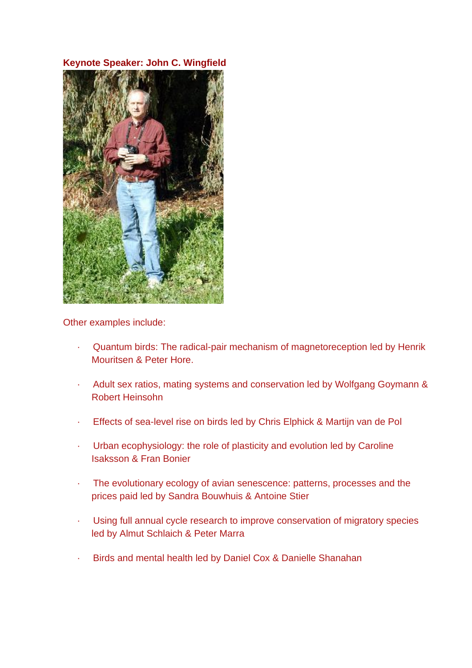## **Keynote Speaker: John C. Wingfield**



Other examples include:

- · Quantum birds: The radical-pair mechanism of magnetoreception led by Henrik Mouritsen & Peter Hore.
- · Adult sex ratios, mating systems and conservation led by Wolfgang Goymann & Robert Heinsohn
- · Effects of sea-level rise on birds led by Chris Elphick & Martijn van de Pol
- · Urban ecophysiology: the role of plasticity and evolution led by Caroline Isaksson & Fran Bonier
- The evolutionary ecology of avian senescence: patterns, processes and the prices paid led by Sandra Bouwhuis & Antoine Stier
- Using full annual cycle research to improve conservation of migratory species led by Almut Schlaich & Peter Marra
- Birds and mental health led by Daniel Cox & Danielle Shanahan